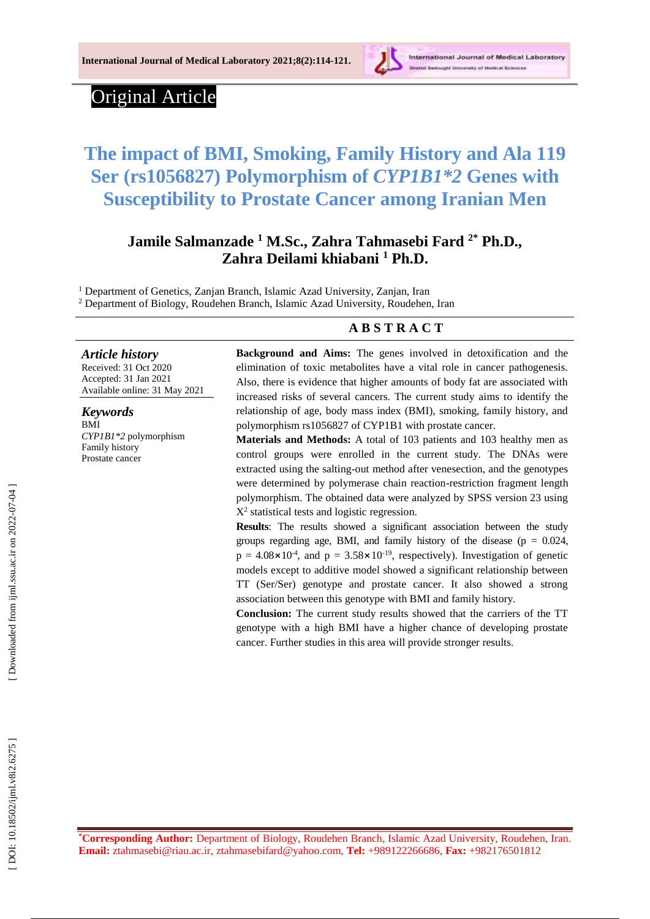

# Original Article

# **The impact of BMI, Smoking, Family History and Ala 119 Ser (rs1056827) Polymorphism of** *CYP1B1\*2* **Genes with Susceptibility to Prostate Cancer among Iranian Men**

## **Jamile Salmanzade <sup>1</sup> M. S c ., Zahra Tahmasebi Fard 2\* Ph.D., Zahra Deilami khiabani <sup>1</sup> Ph.D .**

<sup>1</sup> Department of Genetics, Zanjan Branch, Islamic Azad University, Zanjan, Iran

<sup>2</sup> Department of Biology, Roudehen Branch, Islamic Azad University, Roudehen, Iran

## **A B S T R A C T**

#### *Article history*

Received: 31 Oct 2020 Accepted : 31 Jan 202 1 Available online : 31 May 20 2 1

*Keywords* BMI *CYP1B1\*2* polymorphism Family history Prostate cancer

**Background and Aims:** The genes involved in detoxification and the elimination of toxic metabolites have a vital role in cancer pathogenesis. Also, there is evidence that higher amounts of body fat are associated with increased risks of several cancers. The current study aims to identify the relationship of age, body mass index (BMI), smoking, family history, and polymorphism rs1056827 of CYP1B1 with prostate cancer.

**Materials and Methods:** A total of 103 patients and 103 healthy men as control groups were enrolled in the current study. The DNAs were extracted using the salting -out method after venesection, and the genotypes were determined by polymerase chain reaction -restriction fragment length polymorphism. The obtained data were analyzed by SPSS version 23 using X<sup>2</sup>  $X<sup>2</sup>$  statistical tests and logistic regression.

**Results**: The results showed a significant association between the study groups regarding age, BMI, and family history of the disease ( $p = 0.024$ ,  $p = 4.08 \times 10^{-4}$ , and  $p = 3.58 \times 10^{-19}$ , respectively). Investigation of genetic models except to additive model showed a significant relationship between TT (Ser/Ser) genotype and prostate cancer. It also showed a strong association between this genotype with BMI and family history.

**Conclusion:** The current study results showed that the carriers of the TT genotype with a high BMI have a higher chance of developing prostate cancer. Further studies in this area will provide stronger results.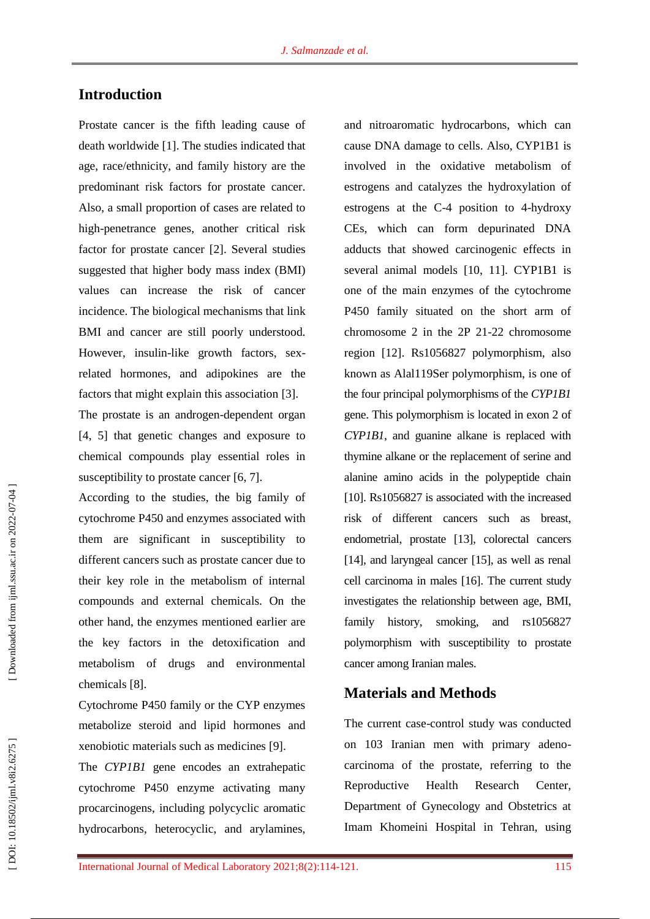## **Introduction**

Prostate cancer is the fifth leading cause of death worldwide [ 1 ]. The studies indicated that age, race/ethnicity, and family history are the predominant risk factors for prostate cancer. Also, a small proportion of cases are related to high -penetrance genes, another critical risk factor for prostate cancer [ 2 ]. Several studies suggested that higher body mass index (BMI) values can increase the risk of cancer incidence. The biological mechanisms that link BMI and cancer are still poorly understood. However, insulin-like growth factors, sexrelated hormones, and adipokines are the factors that might explain this association [3].

The prostate is an androgen -dependent organ [ 4, 5 ] that genetic changes and exposure to chemical compounds play essential roles in susceptibility to prostate cancer [6, 7].

According to the studies, the big family of cytochrome P450 and enzymes associated with them are significant in susceptibility to different cancers such as prostate cancer due to their key role in the metabolism of internal compounds and external chemicals. On the other hand, the enzymes mentioned earlier are the key factors in the detoxification and metabolism of drugs and environmental chemicals [ 8 ] .

Cytochrome P450 family or the CYP enzymes metabolize steroid and lipid hormones and xenobiotic materials such as medicines [ 9 ].

The *CYP1B1* gene encodes an extrahepatic cytochrome P450 enzyme activating many procarcinogens, including polycyclic aromatic hydrocarbons, heterocyclic, and arylamines, and nitroaromatic hydrocarbons, which can cause DNA damage to cells. Also, CYP1B1 is involved in the oxidative metabolism of estrogens and catalyzes the hydroxylation of estrogens at the C -4 position to 4 -hydroxy CEs, which can form depurinated DNA adducts that showed carcinogenic effects in several animal models [ 10, 11 ] . CYP1B1 is one of the main enzymes of the cytochrome P450 family situated on the short arm of chromosome 2 in the 2P 21 -22 chromosome region [12 ]. Rs1056827 polymorphism, also known as Alal119Ser polymorphism, is one of the four principal polymorphisms of the *CYP1B1* gene. This polymorphism is located in exon 2 of *CYP1B1*, and guanine alkane is replaced with thymine alkane or the replacement of serine and alanine amino acids in the polypeptide chain [10]. Rs1056827 is associated with the increased risk of different cancers such as breast, endometrial, prostate [13 ], colorectal cancers [14], and laryngeal cancer [15], as well as renal cell carcinoma in males [16 ]. The current study investigates the relationship between age, BMI, family history, smoking, and rs1056827 polymorphism with susceptibility to prostate cancer among Iranian males.

## **Materials and Methods**

The current case -control study was conducted on 103 Iranian men with primary adeno carcinoma of the prostate, referring to the Reproductive Health Research Center, Department of Gynecology and Obstetrics at Imam Khomeini Hospital in Tehran, using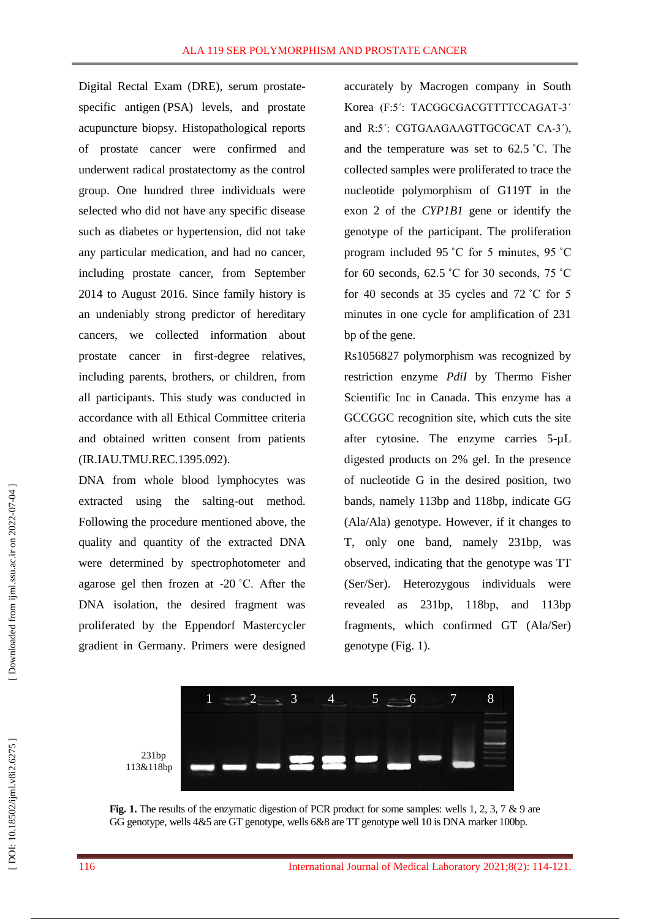Digital Rectal Exam (DRE), serum prostate specific antigen (PSA) levels, and prostate acupuncture biopsy. Histopathological reports of prostate cancer were confirmed and underwent radical prostatectomy as the control group. One hundred three individuals were selected who did not have any specific disease such as diabetes or hypertension, did not take any particular medication, and had no cancer, including prostate cancer, from September 2014 to August 2016. Since family history is an undeniably strong predictor of hereditary cancers, we collected information about prostate cancer in first -degree relatives, including parents, brothers, or children, from all participants. This study was conducted in accordance with all Ethical Committee criteria and obtained written consent from patients (IR.IAU.TMU.REC.1395.092).

DNA from whole blood lymphocytes was extracted using the salting -out method. Following the procedure mentioned above, the quality and quantity of the extracted DNA were determined by spectrophotometer and agarose gel then frozen at -20 ˚C. After the DNA isolation, the desired fragment was proliferated by the Eppendorf Mastercycler gradient in Germany. Primers were designed

accurately by Macrogen company in South Korea (F:5΄: TACGGCGACGTTTTCCAGAT -3΄ and R:5΄: CGTGAAGAAGTTGCGCAT CA -3΄), and the temperature was set to 62.5 ˚C. The collected samples were proliferated to trace the nucleotide polymorphism of G119T in the exon 2 of the *CYP1B1* gene or identify the genotype of the participant. The proliferation program included 95 ˚C for 5 minutes, 95 ˚C for 60 seconds,  $62.5 \degree$ C for 30 seconds,  $75 \degree$ C for 40 seconds at 35 cycles and 72 ˚C for 5 minutes in one cycle for amplification of 231 bp of the gene.

Rs1056827 polymorphism was recognized by restriction enzyme *PdiI* by Thermo Fisher Scientific Inc in Canada. This enzyme has a GCCGGC recognition site, which cuts the site after cytosine. The enzyme carries 5-µL digested products on 2% gel. In the presence of nucleotide G in the desired position, two bands, namely 113bp and 118bp, indicate GG (Ala/Ala) genotype. However, if it changes to T, only one band, namely 231bp, was observed, indicating that the genotype was TT (Ser/Ser). Heterozygous individuals were revealed as 231bp, 118bp, and 113bp fragments, which confirmed GT (Ala/Ser) genotype (Fig. 1) .



**Fig. 1.** The results of the enzymatic digestion of PCR product for some samples: wells 1, 2, 3, 7 & 9 are GG genotype, wells 4&5 are GT genotype, wells 6&8 are TT genotype well 10 is DNA marker 100bp.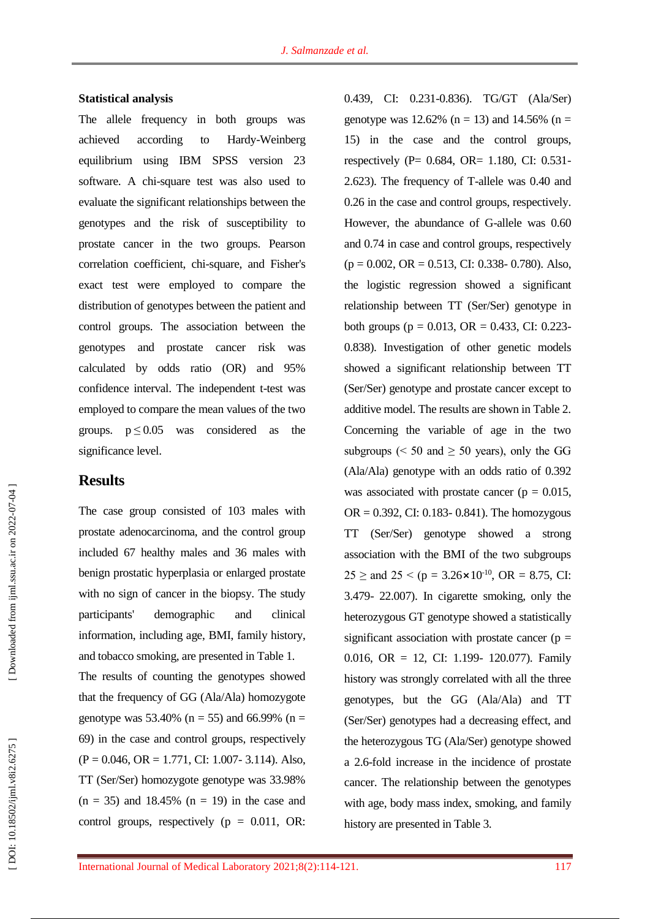#### **Statistical analysis**

The allele frequency in both groups was achieved according to Hardy-Weinberg equilibrium using IBM SPSS version 23 software. A chi -square test was also used to evaluate the significant relationships between the genotypes and the risk of susceptibility to prostate cancer in the two groups. Pearson correlation coefficient, chi -square, and Fisher's exact test were employed to compare the distribution of genotypes between the patient and control groups. The association between the genotypes and prostate cancer risk was calculated by odds ratio (OR) and 95% confidence interval. The independent t -test was employed to compare the mean values of the two groups.  $p \le 0.05$  was considered as the significance level.

## **Results**

The case group consisted of 103 males with prostate adenocarcinoma, and the control group included 67 healthy males and 36 males with benign prostatic hyperplasia or enlarged prostate with no sign of cancer in the biopsy. The study participants' demographic and clinical information, including age, BMI, family history, and tobacco smoking, are presented in Table 1. The results of counting the genotypes showed that the frequency of GG (Ala/Ala) homozygote genotype was 53.40% ( $n = 55$ ) and 66.99% ( $n =$ 69) in the case and control groups, respectively  $(P = 0.046, OR = 1.771, CI: 1.007 - 3.114)$ . Also, TT (Ser/Ser) homozygote genotype was 33.98%  $(n = 35)$  and 18.45%  $(n = 19)$  in the case and control groups, respectively ( $p = 0.011$ , OR:

0.439, CI: 0.231 -0.836). TG/GT (Ala/Ser) genotype was 12.62% ( $n = 13$ ) and 14.56% ( $n =$ 15) in the case and the control groups, respectively (P= 0.684, OR= 1.180, CI: 0.531-2.623). The frequency of T -allele was 0.40 and 0.26 in the case and control groups, respectively. However, the abundance of G -allele was 0.60 and 0.74 in case and control groups, respectively  $(p = 0.002, \text{OR} = 0.513, \text{CI: } 0.338 - 0.780)$ . Also, the logistic regression showed a significant relationship between TT (Ser/Ser) genotype in both groups ( $p = 0.013$ , OR = 0.433, CI: 0.223-0.838). Investigation of other genetic models showed a significant relationship between TT (Ser/Ser) genotype and prostate cancer except to additive model. The results are shown in Table 2. Concerning the variable of age in the two subgroups ( $\leq 50$  and  $\geq 50$  years), only the GG (Ala/Ala) genotype with an odds ratio of 0.392 was associated with prostate cancer ( $p = 0.015$ ,  $OR = 0.392$ , CI: 0.183- 0.841). The homozygous TT (Ser/Ser) genotype showed a strong association with the BMI of the two subgroups  $25 \ge$  and  $25 < (p = 3.26 \times 10^{-10}, \text{ OR } = 8.75, \text{ CI}:$ 3.479 - 22.007). In cigarette smoking, only the heterozygous GT genotype showed a statistically significant association with prostate cancer ( $p =$ 0.016, OR = 12, CI: 1.199- 120.077). Family history was strongly correlated with all the three genotypes, but the GG (Ala/Ala) and TT (Ser/Ser) genotypes had a decreasing effect, and the heterozygous TG (Ala/Ser) genotype showed a 2.6 -fold increase in the incidence of prostate cancer. The relationship between the genotypes with age, body mass index, smoking, and family history are presented in Table 3.

DOI: 10.18502/ijml.v8i2.6275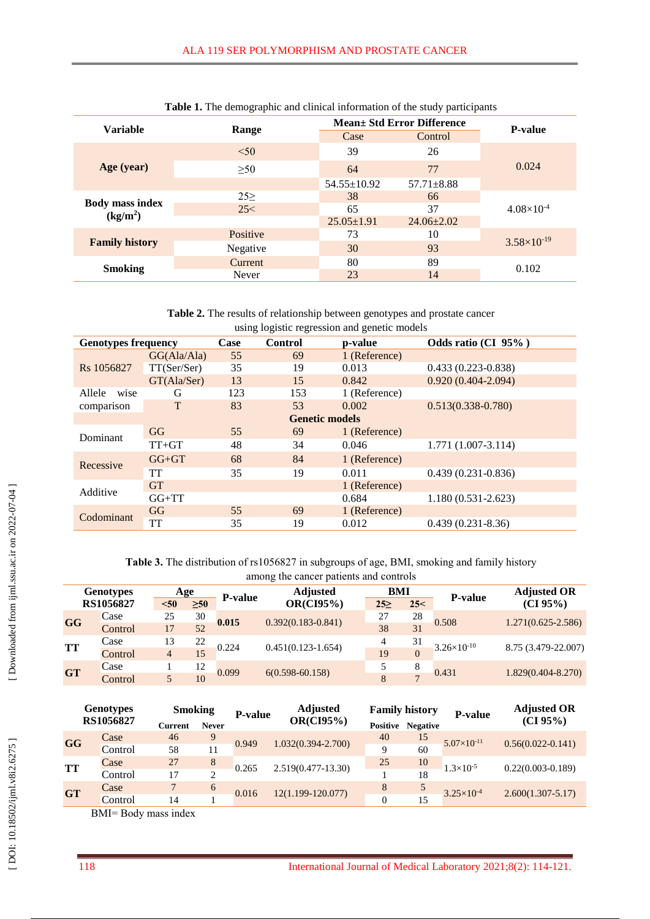| <b>Tuble 1.</b> The demographic and emnear information of the stady participants |          |                                    |                  |                        |  |  |  |
|----------------------------------------------------------------------------------|----------|------------------------------------|------------------|------------------------|--|--|--|
| <b>Variable</b>                                                                  | Range    | <b>Mean</b> + Std Error Difference | <b>P-value</b>   |                        |  |  |  |
|                                                                                  |          | Case                               | Control          |                        |  |  |  |
|                                                                                  | < 50     | 39                                 | 26               |                        |  |  |  |
| Age (year)                                                                       | >50      | 64                                 | 77               | 0.024                  |  |  |  |
|                                                                                  |          | $54.55 \pm 10.92$                  | $57.71 \pm 8.88$ |                        |  |  |  |
|                                                                                  | $25\geq$ | 38                                 | 66               |                        |  |  |  |
| <b>Body mass index</b><br>(kg/m <sup>2</sup> )                                   | 25<      | 65                                 | 37               | $4.08\times10^{-4}$    |  |  |  |
|                                                                                  |          | $25.05 \pm 1.91$                   | $24.06 \pm 2.02$ |                        |  |  |  |
|                                                                                  | Positive | 73                                 | 10               |                        |  |  |  |
| <b>Family history</b>                                                            | Negative | 30                                 | 93               | $3.58 \times 10^{-19}$ |  |  |  |
| <b>Smoking</b>                                                                   | Current  | 80                                 | 89               | 0.102                  |  |  |  |
|                                                                                  | Never    | 23                                 | 14               |                        |  |  |  |

**Table 2 .** The results of relationship between genotypes and prostate cancer using logistic regression and genetic models

| asing rogistic regression and genetic moders |             |      |                |               |                        |  |  |
|----------------------------------------------|-------------|------|----------------|---------------|------------------------|--|--|
| <b>Genotypes frequency</b>                   |             | Case | <b>Control</b> | p-value       | Odds ratio (CI 95%)    |  |  |
| Rs 1056827                                   | GG(Ala/Ala) | 55   | 69             | 1 (Reference) |                        |  |  |
|                                              | TT(Ser/Ser) | 35   | 19             | 0.013         | $0.433(0.223 - 0.838)$ |  |  |
|                                              | GT(Ala/Ser) | 13   | 15             | 0.842         | $0.920(0.404 - 2.094)$ |  |  |
| Allele<br>wise                               | G           | 123  | 153            | 1 (Reference) |                        |  |  |
| comparison                                   | T           | 83   | 53             | 0.002         | $0.513(0.338 - 0.780)$ |  |  |
| <b>Genetic models</b>                        |             |      |                |               |                        |  |  |
| Dominant                                     | GG          | 55   | 69             | 1 (Reference) |                        |  |  |
|                                              | $TT+GT$     | 48   | 34             | 0.046         | $1.771(1.007 - 3.114)$ |  |  |
| Recessive                                    | $GG+GT$     | 68   | 84             | 1 (Reference) |                        |  |  |
|                                              | TT          | 35   | 19             | 0.011         | $0.439(0.231 - 0.836)$ |  |  |
| Additive                                     | <b>GT</b>   |      |                | 1 (Reference) |                        |  |  |
|                                              | $GG+TT$     |      |                | 0.684         | $1.180(0.531 - 2.623)$ |  |  |
| Codominant                                   | GG          | 55   | 69             | 1 (Reference) |                        |  |  |
|                                              | <b>TT</b>   | 35   | 19             | 0.012         | $0.439(0.231-8.36)$    |  |  |

**Table 3 .** The distribution of rs1056827 in subgroups of age, BMI, smoking and family history  $\sigma$  the cancer patients and controls

| among the cancer patients and controls |         |      |       |                |                        |           |              |                      |                        |
|----------------------------------------|---------|------|-------|----------------|------------------------|-----------|--------------|----------------------|------------------------|
| <b>Genotypes</b><br>RS1056827          |         | Age  |       |                | <b>Adjusted</b>        | BMI       |              | <b>P-value</b>       | <b>Adjusted OR</b>     |
|                                        |         | < 50 | $>50$ | <b>P-value</b> | <b>OR(CI95%)</b>       | $25 \geq$ | 25<          |                      | (CI 95%)               |
| GG                                     | Case    | 25   | 30    | 0.015          | $0.392(0.183 - 0.841)$ | 27        | 28           | 0.508                | $1.271(0.625 - 2.586)$ |
|                                        | Control | 17   | 52    |                |                        | 38        | 31           |                      |                        |
| <b>TT</b>                              | Case    | 13   | 22    | 0.224          | $0.451(0.123-1.654)$   | 4         | 31           | $3.26\times10^{-10}$ | 8.75 (3.479-22.007)    |
|                                        | Control | 4    | 15    |                |                        | 19        | $\Omega$     |                      |                        |
| <b>GT</b>                              | Case    |      | 12    | 0.099          | $6(0.598 - 60.158)$    | 5         | 8            | 0.431                | $1.829(0.404 - 8.270)$ |
|                                        | Control |      | 10    |                |                        | 8         | $\mathbf{r}$ |                      |                        |

| <b>Genotypes</b><br>RS1056827 |                       | <b>Smoking</b> |              | P-value | <b>Adjusted</b>    | <b>Family history</b> |                 | <b>P-value</b>        | <b>Adjusted OR</b>    |
|-------------------------------|-----------------------|----------------|--------------|---------|--------------------|-----------------------|-----------------|-----------------------|-----------------------|
|                               |                       | Current        | <b>Never</b> |         | <b>OR(CI95%)</b>   | Positive              | <b>Negative</b> |                       | (CI 95%)              |
| GG                            | Case                  | 46             | 9            | 0.949   | 1.032(0.394-2.700) | 40                    | 15              | $5.07\times10^{-11}$  | $0.56(0.022 - 0.141)$ |
|                               | Control               | 58             | 11           |         |                    | 9                     | 60              |                       |                       |
| TT                            | Case                  | 27             | 8            | 0.265   | 2.519(0.477-13.30) | 25                    | 10              | $1.3\times10^{-5}$    | $0.22(0.003 - 0.189)$ |
|                               | Control               | 17             | ↑            |         |                    |                       | 18              |                       |                       |
| <b>GT</b>                     | Case                  |                | 6            | 0.016   | 12(1.199-120.077)  | 8                     | 5               | $3.25 \times 10^{-4}$ | $2.600(1.307 - 5.17)$ |
|                               | Control               | 14             |              |         |                    | $\overline{0}$        | 15              |                       |                       |
|                               | DJ IT<br>$\mathbf{r}$ |                |              |         |                    |                       |                 |                       |                       |

BMI= Body mass index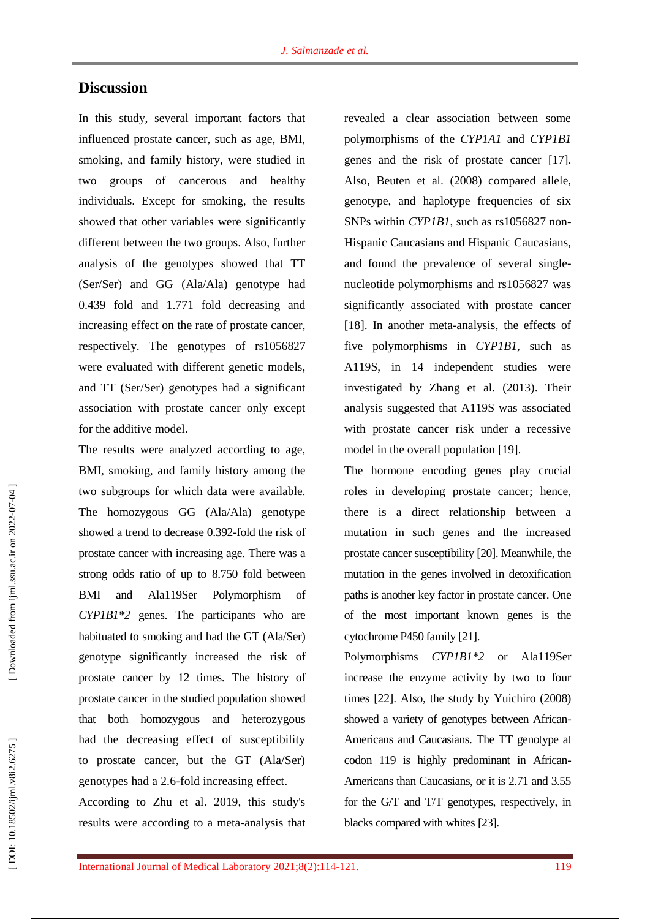## **Discussion**

In this study, several important factors that influenced prostate cancer, such as age, BMI, smoking, and family history, were studied in two groups of cancerous and healthy individuals. Except for smoking, the results showed that other variables were significantly different between the two groups. Also, further analysis of the genotypes showed that TT (Ser/Ser) and GG (Ala/Ala) genotype had 0.439 fold and 1.771 fold decreasing and increasing effect on the rate of prostate cancer, respectively. The genotypes of rs1056827 were evaluated with different genetic models, and TT (Ser/Ser) genotypes had a significant association with prostate cancer only except for the additive model.

The results were analyzed according to age, BMI, smoking, and family history among the two subgroups for which data were available. The homozygous GG (Ala/Ala) genotype showed a trend to decrease 0.392 -fold the risk of prostate cancer with increasing age. There was a strong odds ratio of up to 8.750 fold between BMI and Ala119Ser Polymorphism of *CYP1B1\*2* genes. The participants who are habituated to smoking and had the GT (Ala/Ser) genotype significantly increased the risk of prostate cancer by 12 times. The history of prostate cancer in the studied population showed that both homozygous and heterozygous had the decreasing effect of susceptibility to prostate cancer, but the GT (Ala/Ser) genotypes had a 2.6 -fold increasing effect.

According to Zhu et al. 2019, this study's results were according to a meta -analysis that revealed a clear association between some polymorphisms of the *CYP1A1* and *CYP1B1* genes and the risk of prostate cancer [17 ]. Also, Beuten et al. (2008) compared allele, genotype, and haplotype frequencies of six SNPs within CYP1B1, such as rs1056827 non-Hispanic Caucasians and Hispanic Caucasians, and found the prevalence of several single nucleotide polymorphisms and rs1056827 was significantly associated with prostate cancer [18]. In another meta-analysis, the effects of five polymorphisms in *CYP1B1*, such as A119S, in 14 independent studies were investigated by Zhang et al. (2013). Their analysis suggested that A119S was associated with prostate cancer risk under a recessive model in the overall population [19 ] .

The hormone encoding genes play crucial roles in developing prostate cancer; hence, there is a direct relationship between a mutation in such genes and the increased prostate cancer susceptibility [20 ]. Meanwhile, the mutation in the genes involved in detoxification paths is another key factor in prostate cancer. One of the most important known genes is the cytochrome P450 family [21 ] .

Polymorphisms *CYP1B1\*2* or Ala119Ser increase the enzyme activity by two to four times [22 ]. Also, the study by Yuichiro (2008) showed a variety of genotypes between African - Americans and Caucasians. The TT genotype at codon 119 is highly predominant in African - Americans than Caucasians, or it is 2.71 and 3.55 for the G/T and T/T genotypes, respectively, in blacks compared with whites [23 ] .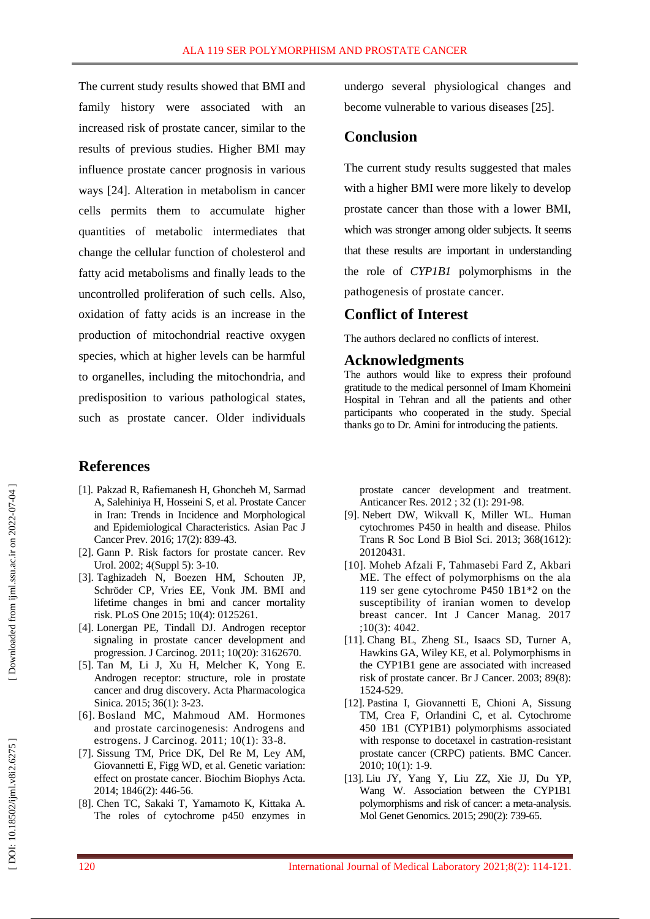The current study results showed that BMI and family history were associated with an increased risk of prostate cancer, similar to the results of previous studies. Higher BMI may influence prostate cancer prognosis in various ways [24 ]. Alteration in metabolism in cancer cells permits them to accumulate higher quantities of metabolic intermediates that change the cellular function of cholesterol and fatty acid metabolisms and finally leads to the uncontrolled proliferation of such cells. Also, oxidation of fatty acids is an increase in the production of mitochondrial reactive oxygen species, which at higher levels can be harmful to organelles, including the mitochondria, and predisposition to various pathological states, such as prostate cancer. Older individuals

## **References**

- [1]. [Pakzad R,](https://www.ncbi.nlm.nih.gov/pubmed/?term=Pakzad%20R%5BAuthor%5D&cauthor=true&cauthor_uid=26925689) [Rafiemanesh H,](https://www.ncbi.nlm.nih.gov/pubmed/?term=Rafiemanesh%20H%5BAuthor%5D&cauthor=true&cauthor_uid=26925689) [Ghoncheh M,](https://www.ncbi.nlm.nih.gov/pubmed/?term=Ghoncheh%20M%5BAuthor%5D&cauthor=true&cauthor_uid=26925689) [Sarmad](https://www.ncbi.nlm.nih.gov/pubmed/?term=Sarmad%20A%5BAuthor%5D&cauthor=true&cauthor_uid=26925689)  [A,](https://www.ncbi.nlm.nih.gov/pubmed/?term=Sarmad%20A%5BAuthor%5D&cauthor=true&cauthor_uid=26925689) [Salehiniya H,](https://www.ncbi.nlm.nih.gov/pubmed/?term=Salehiniya%20H%5BAuthor%5D&cauthor=true&cauthor_uid=26925689) [Hosseini S,](https://www.ncbi.nlm.nih.gov/pubmed/?term=Hosseini%20S%5BAuthor%5D&cauthor=true&cauthor_uid=26925689) et al. Prostate Cancer in Iran: Trends in Incidence and Morphological and Epidemiological Characteristics. [Asian Pac J](https://www.ncbi.nlm.nih.gov/pubmed/26925689)  [Cancer Prev.](https://www.ncbi.nlm.nih.gov/pubmed/26925689) 2016; 17(2): 839 -43.
- [ 2]. [Gann](https://www.ncbi.nlm.nih.gov/pubmed/?term=Gann%20PH%5BAuthor%5D&cauthor=true&cauthor_uid=16986064) P. Risk factors for prostate cancer. [Rev](https://www.ncbi.nlm.nih.gov/pmc/articles/PMC1476014/)  [Urol.](https://www.ncbi.nlm.nih.gov/pmc/articles/PMC1476014/) 2002; 4(Suppl 5): 3 -10.
- [ 3]. Taghizadeh N, Boezen HM, Schouten JP, Schröder CP, Vries EE, Vonk JM. BMI and lifetime changes in bmi and cancer mortality risk. PLoS One 2015; 10(4): 0125261.
- [ 4]. [Lonergan PE,](https://www.ncbi.nlm.nih.gov/pubmed/?term=Lonergan%20PE%5BAuthor%5D&cauthor=true&cauthor_uid=21886458) [Tindall DJ.](https://www.ncbi.nlm.nih.gov/pubmed/?term=Tindall%20DJ%5BAuthor%5D&cauthor=true&cauthor_uid=21886458) Androgen receptor signaling in prostate cancer development and progression[. J Carcinog.](https://www.ncbi.nlm.nih.gov/pmc/articles/PMC3162670/) 2011; 10(20): 3162670 .
- [ 5]. Tan M, Li J, Xu H, [Melcher](https://www.nature.com/articles/aps201418#auth-4) K, [Yong](https://www.nature.com/articles/aps201418#auth-5) E. Androgen receptor: structure, role in prostate cancer and drug discovery. Acta Pharmacologica Sinica. 2015; 36(1): 3 -23.
- [ 6]. [Bosland MC,](https://www.ncbi.nlm.nih.gov/pubmed/?term=Bosland%20MC%5BAuthor%5D&cauthor=true&cauthor_uid=22279418) [Mahmoud AM.](https://www.ncbi.nlm.nih.gov/pubmed/?term=Mahmoud%20AM%5BAuthor%5D&cauthor=true&cauthor_uid=22279418) Hormones and prostate carcinogenesis: Androgens and estrogens. [J Carcinog.](https://www.ncbi.nlm.nih.gov/pmc/articles/PMC3263527/) 2011; 10(1): 33 -8.
- [ 7]. [Sissung TM,](https://www.ncbi.nlm.nih.gov/pubmed/?term=Sissung%20TM%5BAuthor%5D&cauthor=true&cauthor_uid=25199985) [Price DK,](https://www.ncbi.nlm.nih.gov/pubmed/?term=Price%20DK%5BAuthor%5D&cauthor=true&cauthor_uid=25199985) [Del Re M,](https://www.ncbi.nlm.nih.gov/pubmed/?term=Del%20Re%20M%5BAuthor%5D&cauthor=true&cauthor_uid=25199985) [Ley AM,](https://www.ncbi.nlm.nih.gov/pubmed/?term=Ley%20AM%5BAuthor%5D&cauthor=true&cauthor_uid=25199985)  [Giovannetti E,](https://www.ncbi.nlm.nih.gov/pubmed/?term=Giovannetti%20E%5BAuthor%5D&cauthor=true&cauthor_uid=25199985) [Figg WD,](https://www.ncbi.nlm.nih.gov/pubmed/?term=Figg%20WD%5BAuthor%5D&cauthor=true&cauthor_uid=25199985) et al. Genetic variation: effect on prostate cancer. [Biochim Biophys Acta.](https://www.ncbi.nlm.nih.gov/entrez/eutils/elink.fcgi?dbfrom=pubmed&retmode=ref&cmd=prlinks&id=25199985)  [2014; 1846\(2\): 446](https://www.ncbi.nlm.nih.gov/entrez/eutils/elink.fcgi?dbfrom=pubmed&retmode=ref&cmd=prlinks&id=25199985) -56.
- [ 8]. [Chen](http://ar.iiarjournals.org/search?author1=TAI+C.+CHEN&sortspec=date&submit=Submit) TC, [Sakaki](http://ar.iiarjournals.org/search?author1=TOSHIYUKI+SAKAKI&sortspec=date&submit=Submit) T, [Yamamoto](http://ar.iiarjournals.org/search?author1=KEIKO+YAMAMOTO&sortspec=date&submit=Submit) K, [Kittaka](http://ar.iiarjournals.org/search?author1=ATSUSHI+KITTAKA&sortspec=date&submit=Submit) [A](http://ar.iiarjournals.org/content/32/1/291.long#aff-4) . The roles of cytochrome p450 enzymes in

undergo several physiological changes and become vulnerable to various diseases [25 ] .

## **Conclusion**

The current study results suggested that males with a higher BMI were more likely to develop prostate cancer than those with a lower BMI, which was stronger among older subjects. It seems that these results are important in understanding the role of *CYP1B1* polymorphisms in the pathogenesis of prostate cancer.

## **Conflict of Interest**

The authors declared no conflicts of interest.

### **Acknowledgments**

The authors would like to express their profound gratitude to the medical personnel of Imam Khomeini Hospital in Tehran and all the patients and other participants who cooperated in the study. Special thanks go to Dr. Amini for introducing the patients.

prostate cancer development and treatment. Anticancer Res. 2012 ; 32 (1): 291 -98.

- [ 9]. [Nebert](https://www.ncbi.nlm.nih.gov/pubmed/?term=Nebert%20DW%5BAuthor%5D&cauthor=true&cauthor_uid=23297354) DW, [Wikvall](https://www.ncbi.nlm.nih.gov/pubmed/?term=Wikvall%20K%5BAuthor%5D&cauthor=true&cauthor_uid=23297354) K, [Miller](https://www.ncbi.nlm.nih.gov/pubmed/?term=Miller%20WL%5BAuthor%5D&cauthor=true&cauthor_uid=23297354) WL. Human cytochromes P450 in health and disease. [Philos](https://www.ncbi.nlm.nih.gov/pmc/articles/PMC3538421/)  [Trans R Soc Lond B Biol Sci.](https://www.ncbi.nlm.nih.gov/pmc/articles/PMC3538421/) 2013; 368(1612): 20120431.
- [10]. [Moheb Afzali](http://ijcancerprevention.com/en/search/result.html?q=Fereshteh%20Moheb%20Afzali) F , [Tahmasebi Fard Z](http://ijcancerprevention.com/en/search/result.html?q=Zahra%20Tahmasebi%20Fard), [Akbari](http://ijcancerprevention.com/en/search/result.html?q=Mohammad%20Esmaeil%20Akbari)  [ME.](http://ijcancerprevention.com/en/search/result.html?q=Mohammad%20Esmaeil%20Akbari) The effect of polymorphisms on the ala 119 ser gene cytochrome P450 1B1\*2 on the susceptibility of iranian women to develop breast cancer. Int J Cancer Manag. 2017 ;10(3): 4042.
- [11]. [Chang](https://www.ncbi.nlm.nih.gov/pubmed/?term=Chang%20BL%5BAuthor%5D&cauthor=true&cauthor_uid=14562027) BL, [Zheng](https://www.ncbi.nlm.nih.gov/pubmed/?term=Zheng%20SL%5BAuthor%5D&cauthor=true&cauthor_uid=14562027) SL, [Isaacs](https://www.ncbi.nlm.nih.gov/pubmed/?term=Isaacs%20SD%5BAuthor%5D&cauthor=true&cauthor_uid=14562027) SD, [Turner](https://www.ncbi.nlm.nih.gov/pubmed/?term=Turner%20A%5BAuthor%5D&cauthor=true&cauthor_uid=14562027) [A,](https://www.ncbi.nlm.nih.gov/pubmed/?term=Hawkins%20GA%5BAuthor%5D&cauthor=true&cauthor_uid=14562027) [Hawkins](https://www.ncbi.nlm.nih.gov/pubmed/?term=Hawkins%20GA%5BAuthor%5D&cauthor=true&cauthor_uid=14562027) GA, [Wiley](https://www.ncbi.nlm.nih.gov/pubmed/?term=Wiley%20KE%5BAuthor%5D&cauthor=true&cauthor_uid=14562027) KE, et al. Polymorphisms in the CYP1B1 gene are associated with increased risk of prostate cancer. [Br J Cancer.](https://www.ncbi.nlm.nih.gov/pmc/articles/PMC2394327/) 2003; 89(8): 1524 -529.
- [12]. [Pastina](https://www.ncbi.nlm.nih.gov/pubmed/?term=Pastina%20I%5BAuthor%5D&cauthor=true&cauthor_uid=20875115) I, [Giovannetti](https://www.ncbi.nlm.nih.gov/pubmed/?term=Giovannetti%20E%5BAuthor%5D&cauthor=true&cauthor_uid=20875115) E, [Chioni](https://www.ncbi.nlm.nih.gov/pubmed/?term=Chioni%20A%5BAuthor%5D&cauthor=true&cauthor_uid=20875115) A, [Sissung](https://www.ncbi.nlm.nih.gov/pubmed/?term=Sissung%20TM%5BAuthor%5D&cauthor=true&cauthor_uid=20875115) TM, [Crea](https://www.ncbi.nlm.nih.gov/pubmed/?term=Crea%20F%5BAuthor%5D&cauthor=true&cauthor_uid=20875115) F, [Orlandini](https://www.ncbi.nlm.nih.gov/pubmed/?term=Orlandini%20C%5BAuthor%5D&cauthor=true&cauthor_uid=20875115) C, et al. Cytochrome 450 1B1 (CYP1B1) polymorphisms associated with response to docetaxel in castration -resistant prostate cancer (CRPC) patients. [BMC Cancer.](https://www.ncbi.nlm.nih.gov/pmc/articles/PMC2955042/) 2010; 10(1): 1 - 9.
- [13]. [Liu JY,](https://www.ncbi.nlm.nih.gov/pubmed/?term=Liu%20JY%5BAuthor%5D&cauthor=true&cauthor_uid=25475389) [Yang Y,](https://www.ncbi.nlm.nih.gov/pubmed/?term=Yang%20Y%5BAuthor%5D&cauthor=true&cauthor_uid=25475389) [Liu ZZ,](https://www.ncbi.nlm.nih.gov/pubmed/?term=Liu%20ZZ%5BAuthor%5D&cauthor=true&cauthor_uid=25475389) [Xie JJ,](https://www.ncbi.nlm.nih.gov/pubmed/?term=Xie%20JJ%5BAuthor%5D&cauthor=true&cauthor_uid=25475389) [Du YP,](https://www.ncbi.nlm.nih.gov/pubmed/?term=Du%20YP%5BAuthor%5D&cauthor=true&cauthor_uid=25475389) [Wang W.](https://www.ncbi.nlm.nih.gov/pubmed/?term=Wang%20W%5BAuthor%5D&cauthor=true&cauthor_uid=25475389) Association between the CYP1B1 polymorphisms and risk of cancer: a meta -analysis. [Mol Genet Genomics.](https://www.ncbi.nlm.nih.gov/pubmed/25475389) 2015; 290(2): 739 -65.